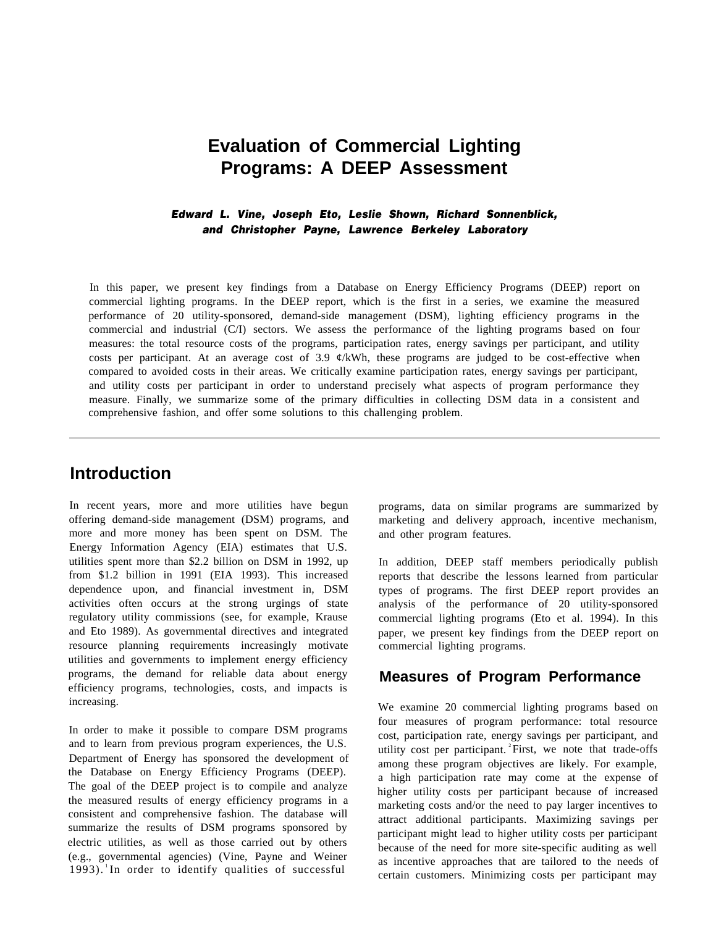# **Evaluation of Commercial Lighting Programs: A DEEP Assessment**

#### *Edward L. Vine, Joseph Eto, Leslie Shown, Richard Sonnenblick, and Christopher Payne, Lawrence Berkeley Laboratory*

In this paper, we present key findings from a Database on Energy Efficiency Programs (DEEP) report on commercial lighting programs. In the DEEP report, which is the first in a series, we examine the measured performance of 20 utility-sponsored, demand-side management (DSM), lighting efficiency programs in the commercial and industrial (C/I) sectors. We assess the performance of the lighting programs based on four measures: the total resource costs of the programs, participation rates, energy savings per participant, and utility costs per participant. At an average cost of 3.9  $\mathcal{C}/kWh$ , these programs are judged to be cost-effective when compared to avoided costs in their areas. We critically examine participation rates, energy savings per participant, and utility costs per participant in order to understand precisely what aspects of program performance they measure. Finally, we summarize some of the primary difficulties in collecting DSM data in a consistent and comprehensive fashion, and offer some solutions to this challenging problem.

# **Introduction**

In recent years, more and more utilities have begun offering demand-side management (DSM) programs, and more and more money has been spent on DSM. The Energy Information Agency (EIA) estimates that U.S. utilities spent more than \$2.2 billion on DSM in 1992, up from \$1.2 billion in 1991 (EIA 1993). This increased dependence upon, and financial investment in, DSM activities often occurs at the strong urgings of state regulatory utility commissions (see, for example, Krause and Eto 1989). As governmental directives and integrated resource planning requirements increasingly motivate utilities and governments to implement energy efficiency programs, the demand for reliable data about energy efficiency programs, technologies, costs, and impacts is increasing.

In order to make it possible to compare DSM programs and to learn from previous program experiences, the U.S. Department of Energy has sponsored the development of the Database on Energy Efficiency Programs (DEEP). The goal of the DEEP project is to compile and analyze the measured results of energy efficiency programs in a consistent and comprehensive fashion. The database will summarize the results of DSM programs sponsored by electric utilities, as well as those carried out by others (e.g., governmental agencies) (Vine, Payne and Weiner  $1993$ . In order to identify qualities of successful

programs, data on similar programs are summarized by marketing and delivery approach, incentive mechanism, and other program features.

In addition, DEEP staff members periodically publish reports that describe the lessons learned from particular types of programs. The first DEEP report provides an analysis of the performance of 20 utility-sponsored commercial lighting programs (Eto et al. 1994). In this paper, we present key findings from the DEEP report on commercial lighting programs.

### **Measures of Program Performance**

We examine 20 commercial lighting programs based on four measures of program performance: total resource cost, participation rate, energy savings per participant, and utility cost per participant.  $\text{First, we note that trade-offs}$ among these program objectives are likely. For example, a high participation rate may come at the expense of higher utility costs per participant because of increased marketing costs and/or the need to pay larger incentives to attract additional participants. Maximizing savings per participant might lead to higher utility costs per participant because of the need for more site-specific auditing as well as incentive approaches that are tailored to the needs of certain customers. Minimizing costs per participant may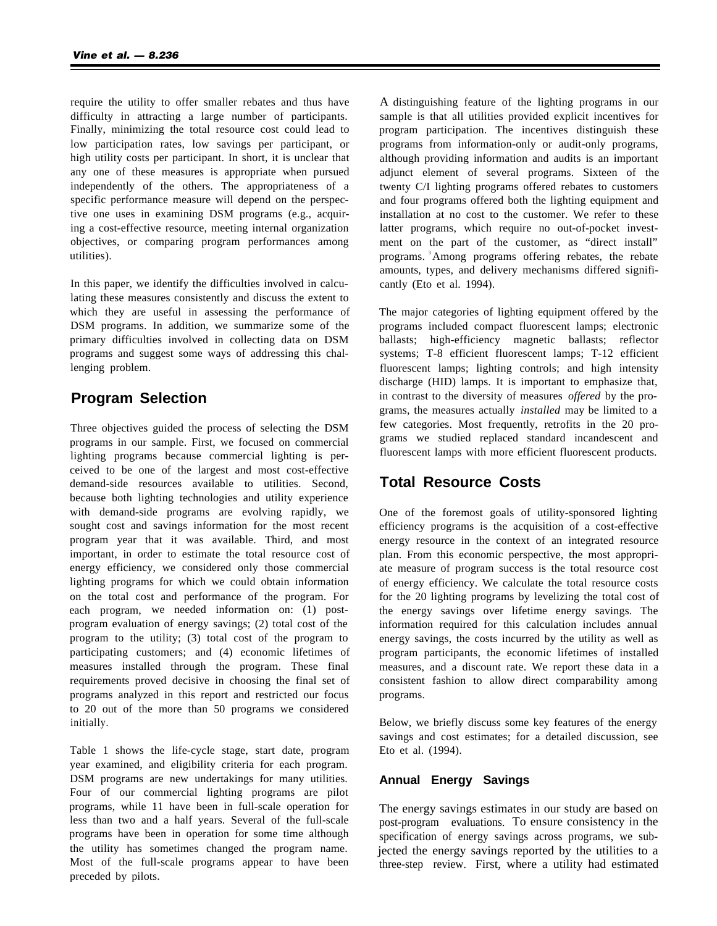require the utility to offer smaller rebates and thus have difficulty in attracting a large number of participants. Finally, minimizing the total resource cost could lead to low participation rates, low savings per participant, or high utility costs per participant. In short, it is unclear that any one of these measures is appropriate when pursued independently of the others. The appropriateness of a specific performance measure will depend on the perspective one uses in examining DSM programs (e.g., acquiring a cost-effective resource, meeting internal organization objectives, or comparing program performances among utilities).

In this paper, we identify the difficulties involved in calculating these measures consistently and discuss the extent to which they are useful in assessing the performance of DSM programs. In addition, we summarize some of the primary difficulties involved in collecting data on DSM programs and suggest some ways of addressing this challenging problem.

### **Program Selection**

Three objectives guided the process of selecting the DSM programs in our sample. First, we focused on commercial lighting programs because commercial lighting is perceived to be one of the largest and most cost-effective demand-side resources available to utilities. Second, because both lighting technologies and utility experience with demand-side programs are evolving rapidly, we sought cost and savings information for the most recent program year that it was available. Third, and most important, in order to estimate the total resource cost of energy efficiency, we considered only those commercial lighting programs for which we could obtain information on the total cost and performance of the program. For each program, we needed information on: (1) postprogram evaluation of energy savings; (2) total cost of the program to the utility; (3) total cost of the program to participating customers; and (4) economic lifetimes of measures installed through the program. These final requirements proved decisive in choosing the final set of programs analyzed in this report and restricted our focus to 20 out of the more than 50 programs we considered initially.

Table 1 shows the life-cycle stage, start date, program year examined, and eligibility criteria for each program. DSM programs are new undertakings for many utilities. Four of our commercial lighting programs are pilot programs, while 11 have been in full-scale operation for less than two and a half years. Several of the full-scale programs have been in operation for some time although the utility has sometimes changed the program name. Most of the full-scale programs appear to have been preceded by pilots.

A distinguishing feature of the lighting programs in our sample is that all utilities provided explicit incentives for program participation. The incentives distinguish these programs from information-only or audit-only programs, although providing information and audits is an important adjunct element of several programs. Sixteen of the twenty C/I lighting programs offered rebates to customers and four programs offered both the lighting equipment and installation at no cost to the customer. We refer to these latter programs, which require no out-of-pocket investment on the part of the customer, as "direct install" programs. <sup>3</sup>Among programs offering rebates, the rebate amounts, types, and delivery mechanisms differed significantly (Eto et al. 1994).

The major categories of lighting equipment offered by the programs included compact fluorescent lamps; electronic ballasts; high-efficiency magnetic ballasts; reflector systems; T-8 efficient fluorescent lamps; T-12 efficient fluorescent lamps; lighting controls; and high intensity discharge (HID) lamps. It is important to emphasize that, in contrast to the diversity of measures *offered* by the programs, the measures actually *installed* may be limited to a few categories. Most frequently, retrofits in the 20 programs we studied replaced standard incandescent and fluorescent lamps with more efficient fluorescent products.

### **Total Resource Costs**

One of the foremost goals of utility-sponsored lighting efficiency programs is the acquisition of a cost-effective energy resource in the context of an integrated resource plan. From this economic perspective, the most appropriate measure of program success is the total resource cost of energy efficiency. We calculate the total resource costs for the 20 lighting programs by levelizing the total cost of the energy savings over lifetime energy savings. The information required for this calculation includes annual energy savings, the costs incurred by the utility as well as program participants, the economic lifetimes of installed measures, and a discount rate. We report these data in a consistent fashion to allow direct comparability among programs.

Below, we briefly discuss some key features of the energy savings and cost estimates; for a detailed discussion, see Eto et al. (1994).

#### **Annual Energy Savings**

The energy savings estimates in our study are based on post-program evaluations. To ensure consistency in the specification of energy savings across programs, we subjected the energy savings reported by the utilities to a three-step review. First, where a utility had estimated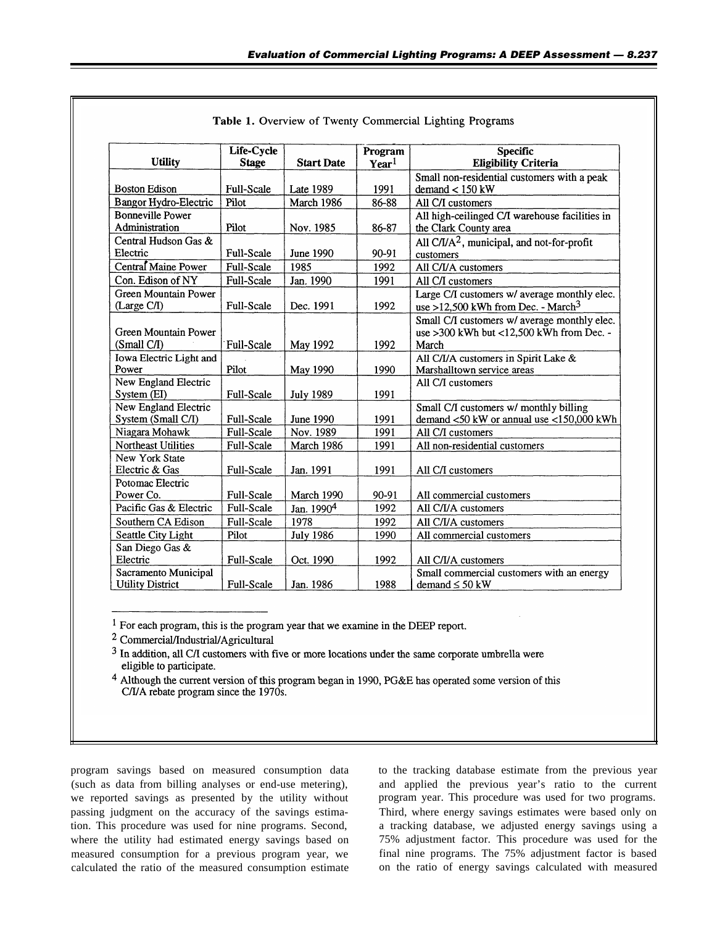|                              | Life-Cycle        |                        | Program           | <b>Specific</b>                                |
|------------------------------|-------------------|------------------------|-------------------|------------------------------------------------|
| <b>Utility</b>               | <b>Stage</b>      | <b>Start Date</b>      | Year <sup>1</sup> | <b>Eligibility Criteria</b>                    |
|                              |                   |                        |                   | Small non-residential customers with a peak    |
| <b>Boston Edison</b>         | <b>Full-Scale</b> | Late 1989              | 1991              | $demand < 150$ kW                              |
| <b>Bangor Hydro-Electric</b> | Pilot             | March 1986             | 86-88             | All C/I customers                              |
| <b>Bonneville Power</b>      |                   |                        |                   | All high-ceilinged C/I warehouse facilities in |
| Administration               | Pilot             | Nov. 1985              | 86-87             | the Clark County area                          |
| Central Hudson Gas &         |                   |                        |                   | All $C/I/A2$ , municipal, and not-for-profit   |
| Electric                     | Full-Scale        | June 1990              | 90-91             | customers                                      |
| Central Maine Power          | <b>Full-Scale</b> | 1985                   | 1992              | All C/I/A customers                            |
| Con. Edison of NY            | Full-Scale        | Jan. 1990              | 1991              | All C/I customers                              |
| Green Mountain Power         |                   |                        |                   | Large C/I customers w/ average monthly elec.   |
| (Large C/I)                  | <b>Full-Scale</b> | Dec. 1991              | 1992              | use >12,500 kWh from Dec. - March <sup>3</sup> |
|                              |                   |                        |                   | Small C/I customers w/ average monthly elec.   |
| Green Mountain Power         |                   |                        |                   | use >300 kWh but <12,500 kWh from Dec. -       |
| (Small C/I)                  | Full-Scale        | May 1992               | 1992              | March                                          |
| Iowa Electric Light and      |                   |                        |                   | All C/I/A customers in Spirit Lake &           |
| Power                        | Pilot             | May 1990               | 1990              | Marshalltown service areas                     |
| New England Electric         |                   |                        |                   | All C/I customers                              |
| System (EI)                  | Full-Scale        | <b>July 1989</b>       | 1991              |                                                |
| New England Electric         |                   |                        |                   | Small C/I customers w/ monthly billing         |
| System (Small C/I)           | Full-Scale        | <b>June 1990</b>       | 1991              | demand $<$ 50 kW or annual use $<$ 150,000 kWh |
| Niagara Mohawk               | Full-Scale        | Nov. 1989              | 1991              | All C/I customers                              |
| Northeast Utilities          | Full-Scale        | March 1986             | 1991              | All non-residential customers                  |
| New York State               |                   |                        |                   |                                                |
| Electric & Gas               | Full-Scale        | Jan. 1991              | 1991              | All C/I customers                              |
| Potomac Electric             |                   |                        |                   |                                                |
| Power Co.                    | Full-Scale        | March 1990             | 90-91             | All commercial customers                       |
| Pacific Gas & Electric       | Full-Scale        | Jan. 1990 <sup>4</sup> | 1992              | All C/I/A customers                            |
| Southern CA Edison           | Full-Scale        | 1978                   | 1992              | All C/I/A customers                            |
| Seattle City Light           | Pilot             | <b>July 1986</b>       | 1990              | All commercial customers                       |
| San Diego Gas &              |                   |                        |                   |                                                |
| Electric                     | Full-Scale        | Oct. 1990              | 1992              | All C/I/A customers                            |
| Sacramento Municipal         |                   |                        |                   | Small commercial customers with an energy      |
| <b>Utility District</b>      | Full-Scale        | Jan. 1986              | 1988              | demand $\leq 50$ kW                            |

| Table 1. Overview of Twenty Commercial Lighting Programs |
|----------------------------------------------------------|
|----------------------------------------------------------|

<sup>1</sup> For each program, this is the program year that we examine in the DEEP report.

<sup>2</sup> Commercial/Industrial/Agricultural

 $3$  In addition, all C/I customers with five or more locations under the same corporate umbrella were eligible to participate.

<sup>4</sup> Although the current version of this program began in 1990, PG&E has operated some version of this C/I/A rebate program since the 1970s.

program savings based on measured consumption data to the tracking database estimate from the previous year (such as data from billing analyses or end-use metering), and applied the previous year's ratio to the current we reported savings as presented by the utility without program year. This procedure was used for two programs. passing judgment on the accuracy of the savings estima- Third, where energy savings estimates were based only on tion. This procedure was used for nine programs. Second, a tracking database, we adjusted energy savings using a where the utility had estimated energy savings based on 75% adjustment factor. This procedure was used for the measured consumption for a previous program year, we final nine programs. The 75% adjustment factor is based calculated the ratio of the measured consumption estimate on the ratio of energy savings calculated with measured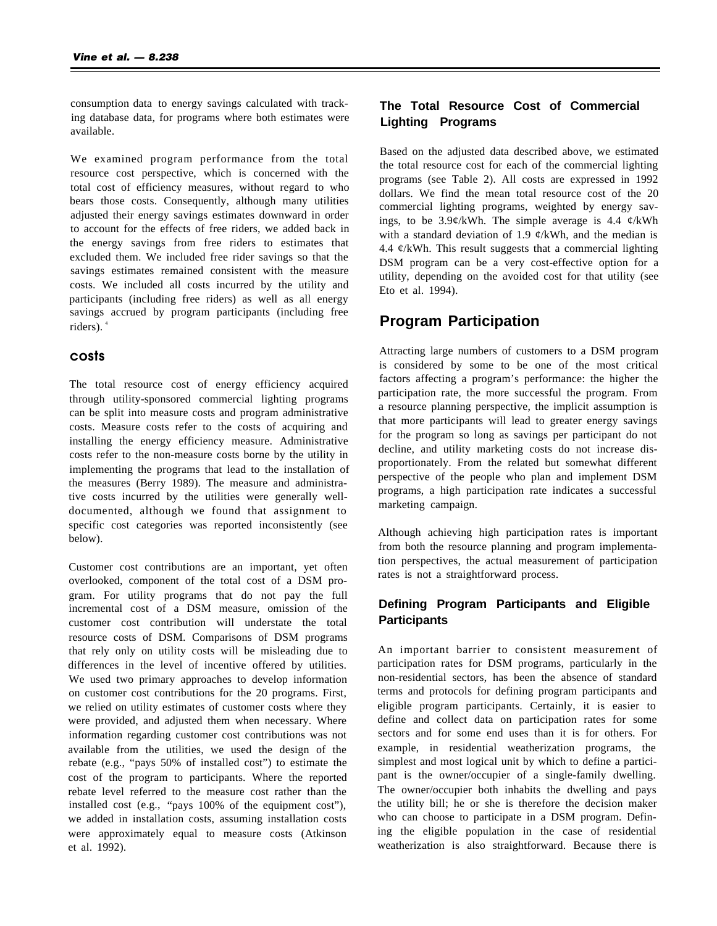consumption data to energy savings calculated with tracking database data, for programs where both estimates were available.

We examined program performance from the total resource cost perspective, which is concerned with the total cost of efficiency measures, without regard to who bears those costs. Consequently, although many utilities adjusted their energy savings estimates downward in order to account for the effects of free riders, we added back in the energy savings from free riders to estimates that excluded them. We included free rider savings so that the savings estimates remained consistent with the measure costs. We included all costs incurred by the utility and participants (including free riders) as well as all energy savings accrued by program participants (including free riders). <sup>4</sup>

#### costs

The total resource cost of energy efficiency acquired through utility-sponsored commercial lighting programs can be split into measure costs and program administrative costs. Measure costs refer to the costs of acquiring and installing the energy efficiency measure. Administrative costs refer to the non-measure costs borne by the utility in implementing the programs that lead to the installation of the measures (Berry 1989). The measure and administrative costs incurred by the utilities were generally welldocumented, although we found that assignment to specific cost categories was reported inconsistently (see below).

Customer cost contributions are an important, yet often overlooked, component of the total cost of a DSM program. For utility programs that do not pay the full incremental cost of a DSM measure, omission of the customer cost contribution will understate the total resource costs of DSM. Comparisons of DSM programs that rely only on utility costs will be misleading due to differences in the level of incentive offered by utilities. We used two primary approaches to develop information on customer cost contributions for the 20 programs. First, we relied on utility estimates of customer costs where they were provided, and adjusted them when necessary. Where information regarding customer cost contributions was not available from the utilities, we used the design of the rebate (e.g., "pays 50% of installed cost") to estimate the cost of the program to participants. Where the reported rebate level referred to the measure cost rather than the installed cost (e.g., "pays 100% of the equipment cost"), we added in installation costs, assuming installation costs were approximately equal to measure costs (Atkinson et al. 1992).

### **The Total Resource Cost of Commercial Lighting Programs**

Based on the adjusted data described above, we estimated the total resource cost for each of the commercial lighting programs (see Table 2). All costs are expressed in 1992 dollars. We find the mean total resource cost of the 20 commercial lighting programs, weighted by energy savings, to be  $3.9\frac{\epsilon}{kWh}$ . The simple average is 4.4  $\frac{\epsilon}{kWh}$ with a standard deviation of 1.9  $\varphi$ /kWh, and the median is 4.4  $\mathcal{C}/kWh$ . This result suggests that a commercial lighting DSM program can be a very cost-effective option for a utility, depending on the avoided cost for that utility (see Eto et al. 1994).

### **Program Participation**

Attracting large numbers of customers to a DSM program is considered by some to be one of the most critical factors affecting a program's performance: the higher the participation rate, the more successful the program. From a resource planning perspective, the implicit assumption is that more participants will lead to greater energy savings for the program so long as savings per participant do not decline, and utility marketing costs do not increase disproportionately. From the related but somewhat different perspective of the people who plan and implement DSM programs, a high participation rate indicates a successful marketing campaign.

Although achieving high participation rates is important from both the resource planning and program implementation perspectives, the actual measurement of participation rates is not a straightforward process.

#### **Defining Program Participants and Eligible Participants**

An important barrier to consistent measurement of participation rates for DSM programs, particularly in the non-residential sectors, has been the absence of standard terms and protocols for defining program participants and eligible program participants. Certainly, it is easier to define and collect data on participation rates for some sectors and for some end uses than it is for others. For example, in residential weatherization programs, the simplest and most logical unit by which to define a participant is the owner/occupier of a single-family dwelling. The owner/occupier both inhabits the dwelling and pays the utility bill; he or she is therefore the decision maker who can choose to participate in a DSM program. Defining the eligible population in the case of residential weatherization is also straightforward. Because there is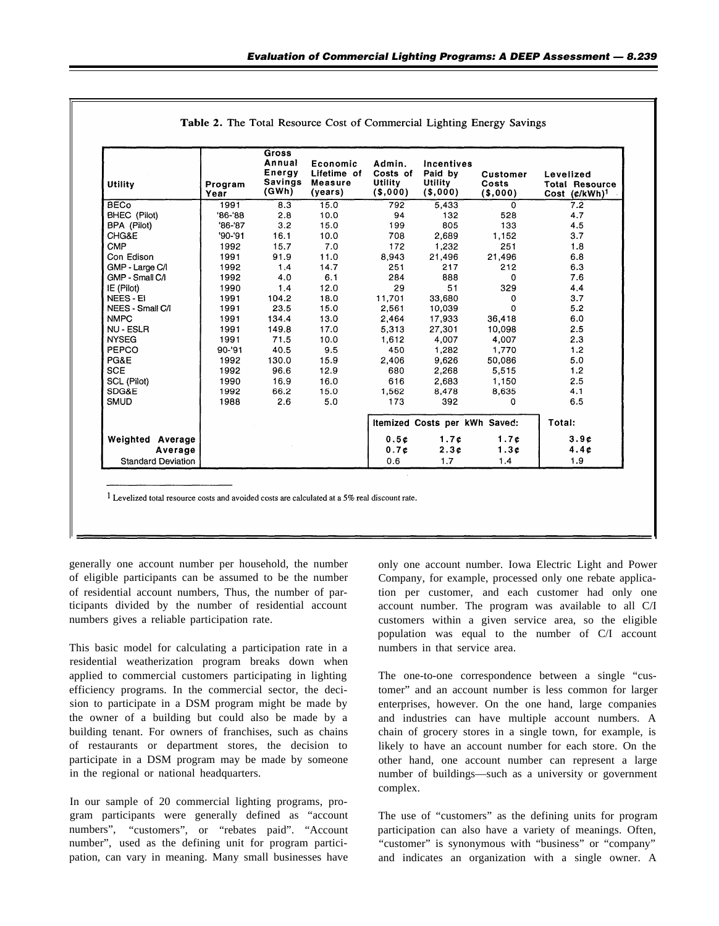| Utility                   | Program<br>Year | <b>Gross</b><br>Annual<br>Energy<br><b>Savings</b><br>(GWh) | Economic<br>Lifetime of<br>Measure<br>(years) | Admin.<br>Costs of<br><b>Utility</b><br>$($ \$,000) | Incentives<br>Paid by<br>Utility<br>$($ \$,000) | <b>Customer</b><br>Costs<br>$($ \$,000) | Levelized<br><b>Total Resource</b><br>Cost $(\mathfrak{c}/kWh)^1$ |  |
|---------------------------|-----------------|-------------------------------------------------------------|-----------------------------------------------|-----------------------------------------------------|-------------------------------------------------|-----------------------------------------|-------------------------------------------------------------------|--|
| <b>BECo</b>               | 1991            | 8.3                                                         | 15.0                                          | 792                                                 | 5,433                                           | $\Omega$                                | 7.2                                                               |  |
| BHEC (Pilot)              | $86 - 88$       | 2.8                                                         | 10.0                                          | 94                                                  | 132                                             | 528                                     | 4.7                                                               |  |
| BPA (Pilot)               | $'86 - '87$     | 3.2                                                         | 15.0                                          | 199                                                 | 805                                             | 133                                     | 4.5                                                               |  |
| CHG&E                     | $'90 - '91$     | 16.1                                                        | 10.0                                          | 708                                                 | 2,689                                           | 1,152                                   | 3.7                                                               |  |
| <b>CMP</b>                | 1992            | 15.7                                                        | 7.0                                           | 172                                                 | 1,232                                           | 251                                     | 1.8                                                               |  |
| Con Edison                | 1991            | 91.9                                                        | 11.0                                          | 8,943                                               | 21,496                                          | 21,496                                  | 6.8                                                               |  |
| GMP - Large C/I           | 1992            | 1.4                                                         | 14.7                                          | 251                                                 | 217                                             | 212                                     | 6.3                                                               |  |
| GMP - Small C/I           | 1992            | 4.0                                                         | 6.1                                           | 284                                                 | 888                                             | $\Omega$                                | 7.6                                                               |  |
| IE (Pilot)                | 1990            | 1.4                                                         | 12.0                                          | 29                                                  | 51                                              | 329                                     | 4.4                                                               |  |
| <b>NEES - EI</b>          | 1991            | 104.2                                                       | 18.0                                          | 11.701                                              | 33.680                                          | $\Omega$                                | 3.7                                                               |  |
| NEES - Small C/I          | 1991            | 23.5                                                        | 15.0                                          | 2,561                                               | 10,039                                          | $\Omega$                                | 5.2                                                               |  |
| <b>NMPC</b>               | 1991            | 134.4                                                       | 13.0                                          | 2.464                                               | 17,933                                          | 36,418                                  | 6.0                                                               |  |
| NU - ESLR                 | 1991            | 149.8                                                       | 17.0                                          | 5,313                                               | 27,301                                          | 10,098                                  | 2.5                                                               |  |
| <b>NYSEG</b>              | 1991            | 71.5                                                        | 10.0                                          | 1,612                                               | 4,007                                           | 4,007                                   | 2.3                                                               |  |
| PEPCO                     | $90 - 91$       | 40.5                                                        | 9.5                                           | 450                                                 | 1,282                                           | 1,770                                   | 1.2                                                               |  |
| PG&E                      | 1992            | 130.0                                                       | 15.9                                          | 2,406                                               | 9,626                                           | 50,086                                  | 5.0                                                               |  |
| <b>SCE</b>                | 1992            | 96.6                                                        | 12.9                                          | 680                                                 | 2.268                                           | 5,515                                   | 1.2                                                               |  |
| SCL (Pilot)               | 1990            | 16.9                                                        | 16.0                                          | 616                                                 | 2,683                                           | 1,150                                   | 2.5                                                               |  |
| SDG&E                     | 1992            | 66.2                                                        | 15.0                                          | 1.562                                               | 8.478                                           | 8,635                                   | 4.1                                                               |  |
| <b>SMUD</b>               | 1988            | 2.6                                                         | 5.0                                           | 173                                                 | 392                                             | $\Omega$                                | 6.5                                                               |  |
|                           |                 |                                                             |                                               | Itemized Costs per kWh Saved:                       |                                                 | Total:                                  |                                                                   |  |
| <b>Weighted Average</b>   |                 |                                                             |                                               | 0.5c                                                | 1.7c                                            | 1.7c                                    | 3.9c                                                              |  |
| Average                   |                 |                                                             |                                               | 0.7c                                                | 2.3c                                            | 1.3c                                    | 4.4c                                                              |  |
| <b>Standard Deviation</b> |                 |                                                             |                                               | 0.6                                                 | 1.7                                             | 1.4                                     | 1.9                                                               |  |

| <b>Table 2.</b> The Total Resource Cost of Commercial Lighting Energy Savings |  |  |  |  |  |  |  |  |  |  |  |
|-------------------------------------------------------------------------------|--|--|--|--|--|--|--|--|--|--|--|
|-------------------------------------------------------------------------------|--|--|--|--|--|--|--|--|--|--|--|

 $1$  Levelized total resource costs and avoided costs are calculated at a 5% real discount rate.

of eligible participants can be assumed to be the number of residential account numbers, Thus, the number of participants divided by the number of residential account numbers gives a reliable participation rate.

This basic model for calculating a participation rate in a residential weatherization program breaks down when applied to commercial customers participating in lighting efficiency programs. In the commercial sector, the decision to participate in a DSM program might be made by the owner of a building but could also be made by a building tenant. For owners of franchises, such as chains of restaurants or department stores, the decision to participate in a DSM program may be made by someone in the regional or national headquarters.

In our sample of 20 commercial lighting programs, program participants were generally defined as "account numbers", "customers", or "rebates paid". "Account number", used as the defining unit for program participation, can vary in meaning. Many small businesses have

generally one account number per household, the number only one account number. Iowa Electric Light and Power Company, for example, processed only one rebate application per customer, and each customer had only one account number. The program was available to all C/I customers within a given service area, so the eligible population was equal to the number of C/I account numbers in that service area.

> The one-to-one correspondence between a single "customer" and an account number is less common for larger enterprises, however. On the one hand, large companies and industries can have multiple account numbers. A chain of grocery stores in a single town, for example, is likely to have an account number for each store. On the other hand, one account number can represent a large number of buildings—such as a university or government complex.

> The use of "customers" as the defining units for program participation can also have a variety of meanings. Often, "customer" is synonymous with "business" or "company" and indicates an organization with a single owner. A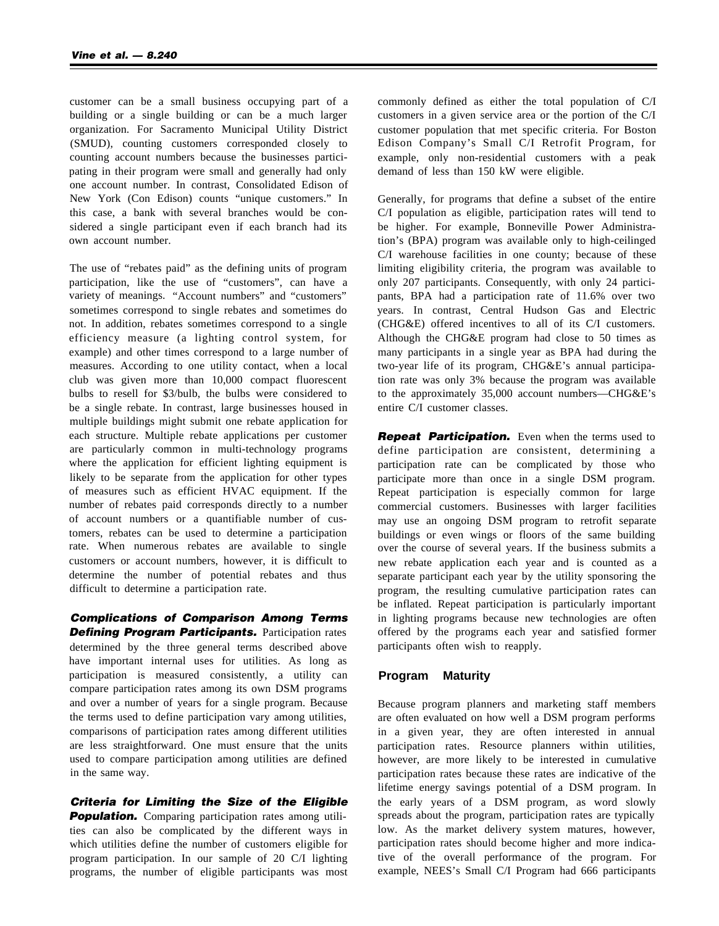customer can be a small business occupying part of a building or a single building or can be a much larger organization. For Sacramento Municipal Utility District (SMUD), counting customers corresponded closely to counting account numbers because the businesses participating in their program were small and generally had only one account number. In contrast, Consolidated Edison of New York (Con Edison) counts "unique customers." In this case, a bank with several branches would be considered a single participant even if each branch had its own account number.

The use of "rebates paid" as the defining units of program participation, like the use of "customers", can have a variety of meanings. "Account numbers" and "customers" sometimes correspond to single rebates and sometimes do not. In addition, rebates sometimes correspond to a single efficiency measure (a lighting control system, for example) and other times correspond to a large number of measures. According to one utility contact, when a local club was given more than 10,000 compact fluorescent bulbs to resell for \$3/bulb, the bulbs were considered to be a single rebate. In contrast, large businesses housed in multiple buildings might submit one rebate application for each structure. Multiple rebate applications per customer are particularly common in multi-technology programs where the application for efficient lighting equipment is likely to be separate from the application for other types of measures such as efficient HVAC equipment. If the number of rebates paid corresponds directly to a number of account numbers or a quantifiable number of customers, rebates can be used to determine a participation rate. When numerous rebates are available to single customers or account numbers, however, it is difficult to determine the number of potential rebates and thus difficult to determine a participation rate.

*Complications of Comparison Among Terms* **Defining Program Participants.** Participation rates determined by the three general terms described above have important internal uses for utilities. As long as participation is measured consistently, a utility can compare participation rates among its own DSM programs and over a number of years for a single program. Because the terms used to define participation vary among utilities, comparisons of participation rates among different utilities are less straightforward. One must ensure that the units used to compare participation among utilities are defined in the same way.

*Criteria for Limiting the Size of the Eligible* **Population.** Comparing participation rates among utilities can also be complicated by the different ways in which utilities define the number of customers eligible for program participation. In our sample of 20 C/I lighting programs, the number of eligible participants was most

commonly defined as either the total population of C/I customers in a given service area or the portion of the C/I customer population that met specific criteria. For Boston Edison Company's Small C/I Retrofit Program, for example, only non-residential customers with a peak demand of less than 150 kW were eligible.

Generally, for programs that define a subset of the entire C/I population as eligible, participation rates will tend to be higher. For example, Bonneville Power Administration's (BPA) program was available only to high-ceilinged C/I warehouse facilities in one county; because of these limiting eligibility criteria, the program was available to only 207 participants. Consequently, with only 24 participants, BPA had a participation rate of 11.6% over two years. In contrast, Central Hudson Gas and Electric (CHG&E) offered incentives to all of its C/I customers. Although the CHG&E program had close to 50 times as many participants in a single year as BPA had during the two-year life of its program, CHG&E's annual participation rate was only 3% because the program was available to the approximately 35,000 account numbers—CHG&E's entire C/I customer classes.

**Repeat Participation.** Even when the terms used to define participation are consistent, determining a participation rate can be complicated by those who participate more than once in a single DSM program. Repeat participation is especially common for large commercial customers. Businesses with larger facilities may use an ongoing DSM program to retrofit separate buildings or even wings or floors of the same building over the course of several years. If the business submits a new rebate application each year and is counted as a separate participant each year by the utility sponsoring the program, the resulting cumulative participation rates can be inflated. Repeat participation is particularly important in lighting programs because new technologies are often offered by the programs each year and satisfied former participants often wish to reapply.

#### **Program Maturity**

Because program planners and marketing staff members are often evaluated on how well a DSM program performs in a given year, they are often interested in annual participation rates. Resource planners within utilities, however, are more likely to be interested in cumulative participation rates because these rates are indicative of the lifetime energy savings potential of a DSM program. In the early years of a DSM program, as word slowly spreads about the program, participation rates are typically low. As the market delivery system matures, however, participation rates should become higher and more indicative of the overall performance of the program. For example, NEES's Small C/I Program had 666 participants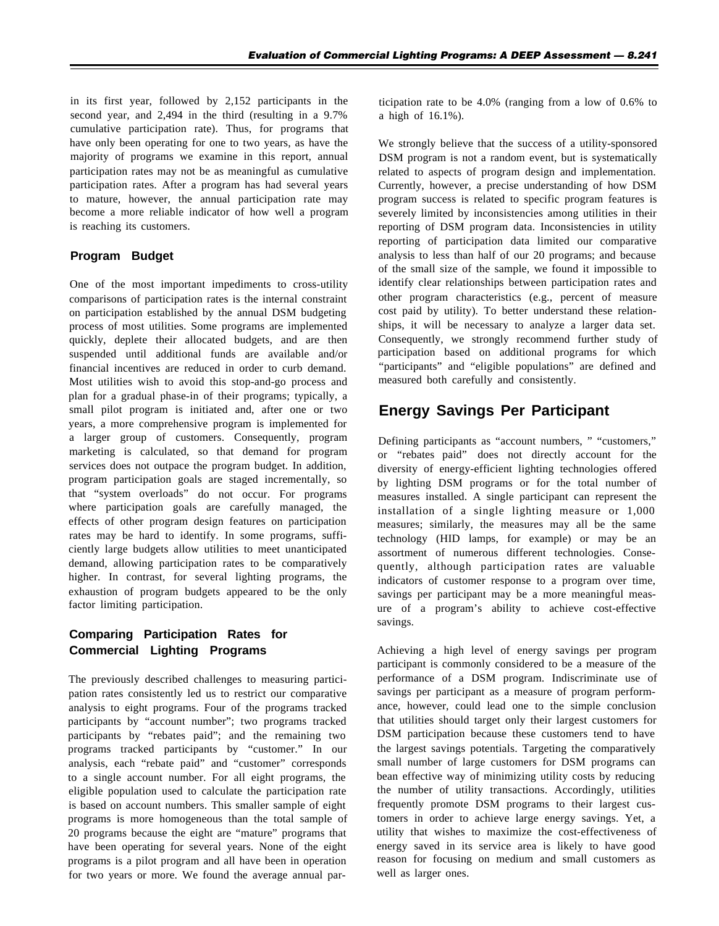in its first year, followed by 2,152 participants in the second year, and 2,494 in the third (resulting in a 9.7% cumulative participation rate). Thus, for programs that have only been operating for one to two years, as have the majority of programs we examine in this report, annual participation rates may not be as meaningful as cumulative participation rates. After a program has had several years to mature, however, the annual participation rate may become a more reliable indicator of how well a program is reaching its customers.

#### **Program Budget**

One of the most important impediments to cross-utility comparisons of participation rates is the internal constraint on participation established by the annual DSM budgeting process of most utilities. Some programs are implemented quickly, deplete their allocated budgets, and are then suspended until additional funds are available and/or financial incentives are reduced in order to curb demand. Most utilities wish to avoid this stop-and-go process and plan for a gradual phase-in of their programs; typically, a small pilot program is initiated and, after one or two years, a more comprehensive program is implemented for a larger group of customers. Consequently, program marketing is calculated, so that demand for program services does not outpace the program budget. In addition, program participation goals are staged incrementally, so that "system overloads" do not occur. For programs where participation goals are carefully managed, the effects of other program design features on participation rates may be hard to identify. In some programs, sufficiently large budgets allow utilities to meet unanticipated demand, allowing participation rates to be comparatively higher. In contrast, for several lighting programs, the exhaustion of program budgets appeared to be the only factor limiting participation.

### **Comparing Participation Rates for Commercial Lighting Programs**

The previously described challenges to measuring participation rates consistently led us to restrict our comparative analysis to eight programs. Four of the programs tracked participants by "account number"; two programs tracked participants by "rebates paid"; and the remaining two programs tracked participants by "customer." In our analysis, each "rebate paid" and "customer" corresponds to a single account number. For all eight programs, the eligible population used to calculate the participation rate is based on account numbers. This smaller sample of eight programs is more homogeneous than the total sample of 20 programs because the eight are "mature" programs that have been operating for several years. None of the eight programs is a pilot program and all have been in operation for two years or more. We found the average annual participation rate to be 4.0% (ranging from a low of 0.6% to a high of 16.1%).

We strongly believe that the success of a utility-sponsored DSM program is not a random event, but is systematically related to aspects of program design and implementation. Currently, however, a precise understanding of how DSM program success is related to specific program features is severely limited by inconsistencies among utilities in their reporting of DSM program data. Inconsistencies in utility reporting of participation data limited our comparative analysis to less than half of our 20 programs; and because of the small size of the sample, we found it impossible to identify clear relationships between participation rates and other program characteristics (e.g., percent of measure cost paid by utility). To better understand these relationships, it will be necessary to analyze a larger data set. Consequently, we strongly recommend further study of participation based on additional programs for which "participants" and "eligible populations" are defined and measured both carefully and consistently.

# **Energy Savings Per Participant**

Defining participants as "account numbers, " "customers," or "rebates paid" does not directly account for the diversity of energy-efficient lighting technologies offered by lighting DSM programs or for the total number of measures installed. A single participant can represent the installation of a single lighting measure or 1,000 measures; similarly, the measures may all be the same technology (HID lamps, for example) or may be an assortment of numerous different technologies. Consequently, although participation rates are valuable indicators of customer response to a program over time, savings per participant may be a more meaningful measure of a program's ability to achieve cost-effective savings.

Achieving a high level of energy savings per program participant is commonly considered to be a measure of the performance of a DSM program. Indiscriminate use of savings per participant as a measure of program performance, however, could lead one to the simple conclusion that utilities should target only their largest customers for DSM participation because these customers tend to have the largest savings potentials. Targeting the comparatively small number of large customers for DSM programs can bean effective way of minimizing utility costs by reducing the number of utility transactions. Accordingly, utilities frequently promote DSM programs to their largest customers in order to achieve large energy savings. Yet, a utility that wishes to maximize the cost-effectiveness of energy saved in its service area is likely to have good reason for focusing on medium and small customers as well as larger ones.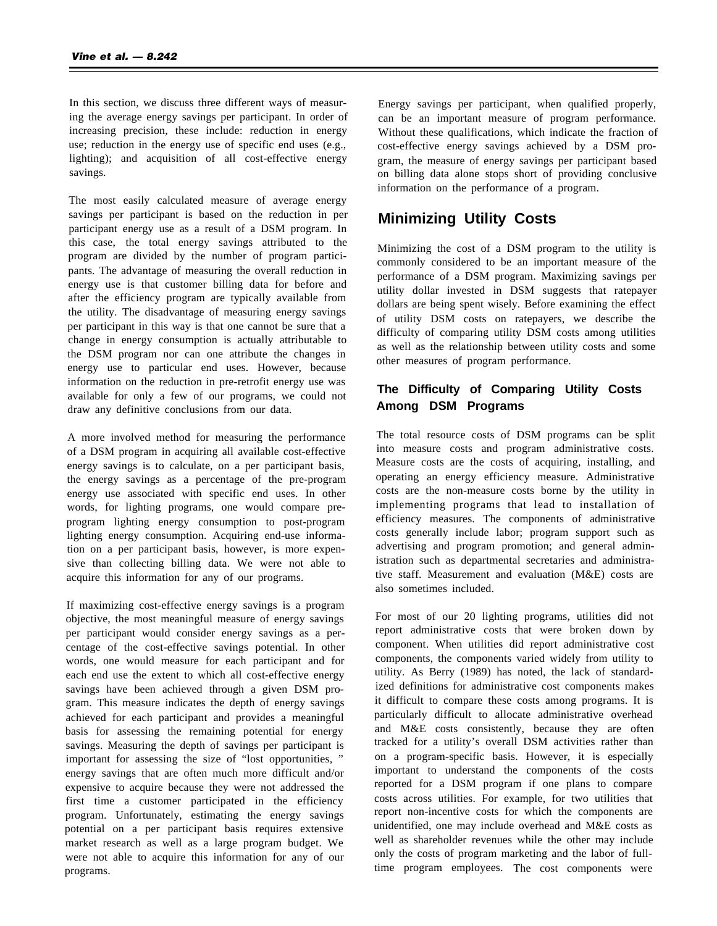In this section, we discuss three different ways of measuring the average energy savings per participant. In order of increasing precision, these include: reduction in energy use; reduction in the energy use of specific end uses (e.g., lighting); and acquisition of all cost-effective energy savings.

The most easily calculated measure of average energy savings per participant is based on the reduction in per participant energy use as a result of a DSM program. In this case, the total energy savings attributed to the program are divided by the number of program participants. The advantage of measuring the overall reduction in energy use is that customer billing data for before and after the efficiency program are typically available from the utility. The disadvantage of measuring energy savings per participant in this way is that one cannot be sure that a change in energy consumption is actually attributable to the DSM program nor can one attribute the changes in energy use to particular end uses. However, because information on the reduction in pre-retrofit energy use was available for only a few of our programs, we could not draw any definitive conclusions from our data.

A more involved method for measuring the performance of a DSM program in acquiring all available cost-effective energy savings is to calculate, on a per participant basis, the energy savings as a percentage of the pre-program energy use associated with specific end uses. In other words, for lighting programs, one would compare preprogram lighting energy consumption to post-program lighting energy consumption. Acquiring end-use information on a per participant basis, however, is more expensive than collecting billing data. We were not able to acquire this information for any of our programs.

If maximizing cost-effective energy savings is a program objective, the most meaningful measure of energy savings per participant would consider energy savings as a percentage of the cost-effective savings potential. In other words, one would measure for each participant and for each end use the extent to which all cost-effective energy savings have been achieved through a given DSM program. This measure indicates the depth of energy savings achieved for each participant and provides a meaningful basis for assessing the remaining potential for energy savings. Measuring the depth of savings per participant is important for assessing the size of "lost opportunities, " energy savings that are often much more difficult and/or expensive to acquire because they were not addressed the first time a customer participated in the efficiency program. Unfortunately, estimating the energy savings potential on a per participant basis requires extensive market research as well as a large program budget. We were not able to acquire this information for any of our programs.

Energy savings per participant, when qualified properly, can be an important measure of program performance. Without these qualifications, which indicate the fraction of cost-effective energy savings achieved by a DSM program, the measure of energy savings per participant based on billing data alone stops short of providing conclusive information on the performance of a program.

## **Minimizing Utility Costs**

Minimizing the cost of a DSM program to the utility is commonly considered to be an important measure of the performance of a DSM program. Maximizing savings per utility dollar invested in DSM suggests that ratepayer dollars are being spent wisely. Before examining the effect of utility DSM costs on ratepayers, we describe the difficulty of comparing utility DSM costs among utilities as well as the relationship between utility costs and some other measures of program performance.

#### **The Difficulty of Comparing Utility Costs Among DSM Programs**

The total resource costs of DSM programs can be split into measure costs and program administrative costs. Measure costs are the costs of acquiring, installing, and operating an energy efficiency measure. Administrative costs are the non-measure costs borne by the utility in implementing programs that lead to installation of efficiency measures. The components of administrative costs generally include labor; program support such as advertising and program promotion; and general administration such as departmental secretaries and administrative staff. Measurement and evaluation (M&E) costs are also sometimes included.

For most of our 20 lighting programs, utilities did not report administrative costs that were broken down by component. When utilities did report administrative cost components, the components varied widely from utility to utility. As Berry (1989) has noted, the lack of standardized definitions for administrative cost components makes it difficult to compare these costs among programs. It is particularly difficult to allocate administrative overhead and M&E costs consistently, because they are often tracked for a utility's overall DSM activities rather than on a program-specific basis. However, it is especially important to understand the components of the costs reported for a DSM program if one plans to compare costs across utilities. For example, for two utilities that report non-incentive costs for which the components are unidentified, one may include overhead and M&E costs as well as shareholder revenues while the other may include only the costs of program marketing and the labor of fulltime program employees. The cost components were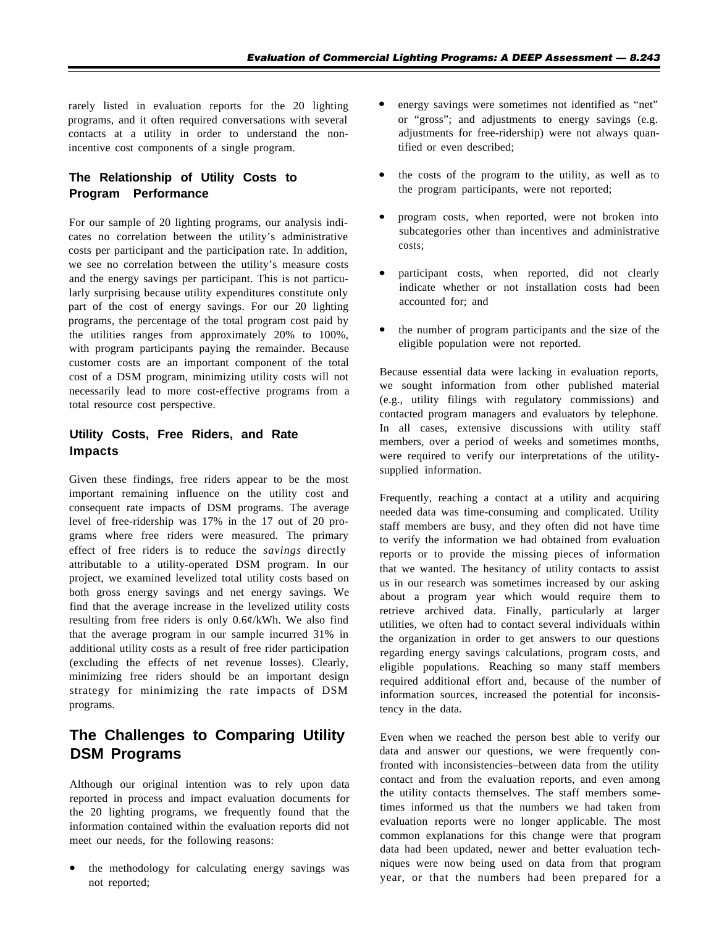rarely listed in evaluation reports for the 20 lighting programs, and it often required conversations with several contacts at a utility in order to understand the nonincentive cost components of a single program.

### **The Relationship of Utility Costs to Program Performance**

For our sample of 20 lighting programs, our analysis indicates no correlation between the utility's administrative costs per participant and the participation rate. In addition, we see no correlation between the utility's measure costs and the energy savings per participant. This is not particularly surprising because utility expenditures constitute only part of the cost of energy savings. For our 20 lighting programs, the percentage of the total program cost paid by the utilities ranges from approximately 20% to 100%, with program participants paying the remainder. Because customer costs are an important component of the total cost of a DSM program, minimizing utility costs will not necessarily lead to more cost-effective programs from a total resource cost perspective.

#### **Utility Costs, Free Riders, and Rate Impacts**

Given these findings, free riders appear to be the most important remaining influence on the utility cost and consequent rate impacts of DSM programs. The average level of free-ridership was 17% in the 17 out of 20 programs where free riders were measured. The primary effect of free riders is to reduce the *savings* directly attributable to a utility-operated DSM program. In our project, we examined levelized total utility costs based on both gross energy savings and net energy savings. We find that the average increase in the levelized utility costs resulting from free riders is only 0.6¢/kWh. We also find that the average program in our sample incurred 31% in additional utility costs as a result of free rider participation (excluding the effects of net revenue losses). Clearly, minimizing free riders should be an important design strategy for minimizing the rate impacts of DSM programs.

### **The Challenges to Comparing Utility DSM Programs**

Although our original intention was to rely upon data reported in process and impact evaluation documents for the 20 lighting programs, we frequently found that the information contained within the evaluation reports did not meet our needs, for the following reasons:

the methodology for calculating energy savings was not reported;

- energy savings were sometimes not identified as "net" or "gross"; and adjustments to energy savings (e.g. adjustments for free-ridership) were not always quantified or even described;
- the costs of the program to the utility, as well as to the program participants, were not reported;
- program costs, when reported, were not broken into subcategories other than incentives and administrative costs;
- participant costs, when reported, did not clearly indicate whether or not installation costs had been accounted for; and
- the number of program participants and the size of the eligible population were not reported.

Because essential data were lacking in evaluation reports, we sought information from other published material (e.g., utility filings with regulatory commissions) and contacted program managers and evaluators by telephone. In all cases, extensive discussions with utility staff members, over a period of weeks and sometimes months, were required to verify our interpretations of the utilitysupplied information.

Frequently, reaching a contact at a utility and acquiring needed data was time-consuming and complicated. Utility staff members are busy, and they often did not have time to verify the information we had obtained from evaluation reports or to provide the missing pieces of information that we wanted. The hesitancy of utility contacts to assist us in our research was sometimes increased by our asking about a program year which would require them to retrieve archived data. Finally, particularly at larger utilities, we often had to contact several individuals within the organization in order to get answers to our questions regarding energy savings calculations, program costs, and eligible populations. Reaching so many staff members required additional effort and, because of the number of information sources, increased the potential for inconsistency in the data.

Even when we reached the person best able to verify our data and answer our questions, we were frequently confronted with inconsistencies–between data from the utility contact and from the evaluation reports, and even among the utility contacts themselves. The staff members sometimes informed us that the numbers we had taken from evaluation reports were no longer applicable. The most common explanations for this change were that program data had been updated, newer and better evaluation techniques were now being used on data from that program year, or that the numbers had been prepared for a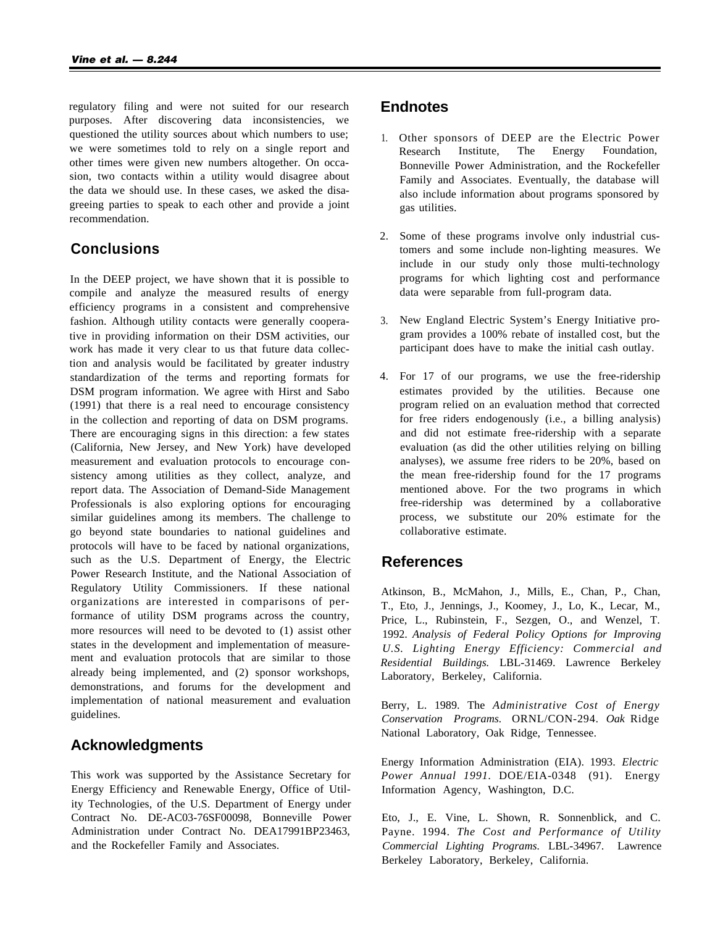regulatory filing and were not suited for our research purposes. After discovering data inconsistencies, we questioned the utility sources about which numbers to use; we were sometimes told to rely on a single report and other times were given new numbers altogether. On occasion, two contacts within a utility would disagree about the data we should use. In these cases, we asked the disagreeing parties to speak to each other and provide a joint recommendation.

### **Conclusions**

In the DEEP project, we have shown that it is possible to compile and analyze the measured results of energy efficiency programs in a consistent and comprehensive fashion. Although utility contacts were generally cooperative in providing information on their DSM activities, our work has made it very clear to us that future data collection and analysis would be facilitated by greater industry standardization of the terms and reporting formats for DSM program information. We agree with Hirst and Sabo (1991) that there is a real need to encourage consistency in the collection and reporting of data on DSM programs. There are encouraging signs in this direction: a few states (California, New Jersey, and New York) have developed measurement and evaluation protocols to encourage consistency among utilities as they collect, analyze, and report data. The Association of Demand-Side Management Professionals is also exploring options for encouraging similar guidelines among its members. The challenge to go beyond state boundaries to national guidelines and protocols will have to be faced by national organizations, such as the U.S. Department of Energy, the Electric Power Research Institute, and the National Association of Regulatory Utility Commissioners. If these national organizations are interested in comparisons of performance of utility DSM programs across the country, more resources will need to be devoted to (1) assist other states in the development and implementation of measurement and evaluation protocols that are similar to those already being implemented, and (2) sponsor workshops, demonstrations, and forums for the development and implementation of national measurement and evaluation guidelines.

### **Acknowledgments**

This work was supported by the Assistance Secretary for Energy Efficiency and Renewable Energy, Office of Utility Technologies, of the U.S. Department of Energy under Contract No. DE-AC03-76SF00098, Bonneville Power Administration under Contract No. DEA17991BP23463, and the Rockefeller Family and Associates.

### **Endnotes**

- 1. Other sponsors of DEEP are the Electric Power Research Institute, The Energy Foundation, Bonneville Power Administration, and the Rockefeller Family and Associates. Eventually, the database will also include information about programs sponsored by gas utilities.
- 2. Some of these programs involve only industrial customers and some include non-lighting measures. We include in our study only those multi-technology programs for which lighting cost and performance data were separable from full-program data.
- 3. New England Electric System's Energy Initiative program provides a 100% rebate of installed cost, but the participant does have to make the initial cash outlay.
- 4. For 17 of our programs, we use the free-ridership estimates provided by the utilities. Because one program relied on an evaluation method that corrected for free riders endogenously (i.e., a billing analysis) and did not estimate free-ridership with a separate evaluation (as did the other utilities relying on billing analyses), we assume free riders to be 20%, based on the mean free-ridership found for the 17 programs mentioned above. For the two programs in which free-ridership was determined by a collaborative process, we substitute our 20% estimate for the collaborative estimate.

### **References**

Atkinson, B., McMahon, J., Mills, E., Chan, P., Chan, T., Eto, J., Jennings, J., Koomey, J., Lo, K., Lecar, M., Price, L., Rubinstein, F., Sezgen, O., and Wenzel, T. 1992. *Analysis of Federal Policy Options for Improving U.S. Lighting Energy Efficiency: Commercial and Residential Buildings.* LBL-31469. Lawrence Berkeley Laboratory, Berkeley, California.

Berry, L. 1989. The *Administrative Cost of Energy Conservation Programs.* ORNL/CON-294. *Oak* Ridge National Laboratory, Oak Ridge, Tennessee.

Energy Information Administration (EIA). 1993. *Electric Power Annual 1991.* DOE/EIA-0348 (91). Energy Information Agency, Washington, D.C.

Eto, J., E. Vine, L. Shown, R. Sonnenblick, and C. Payne. 1994. *The Cost and Performance of Utility Commercial Lighting Programs.* LBL-34967. Lawrence Berkeley Laboratory, Berkeley, California.